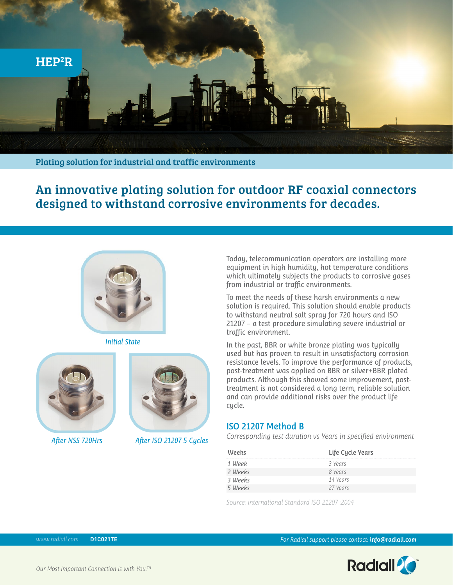

Plating solution for industrial and traffic environments

An innovative plating solution for outdoor RF coaxial connectors designed to withstand corrosive environments for decades.



*Initial State*





*After NSS 720Hrs After ISO 21207 5 Cycles*

Today, telecommunication operators are installing more equipment in high humidity, hot temperature conditions which ultimately subjects the products to corrosive gases from industrial or traffic environments.

To meet the needs of these harsh environments a new solution is required. This solution should enable products to withstand neutral salt spray for 720 hours and ISO 21207 – a test procedure simulating severe industrial or traffic environment.

In the past, BBR or white bronze plating was typically used but has proven to result in unsatisfactory corrosion resistance levels. To improve the performance of products, post-treatment was applied on BBR or silver+BBR plated products. Although this showed some improvement, posttreatment is not considered a long term, reliable solution and can provide additional risks over the product life cycle.

## **ISO 21207 Method B**

*Corresponding test duration vs Years in specified environment*

| Weeks   | Life Cycle Years |
|---------|------------------|
| 1 Week  | 3 Years          |
| 2 Weeks | 8 Years          |
| 3 Weeks | 14 Years         |
| 5 Weeks | 27 Years         |

*Source: International Standard ISO 21207 :2004*